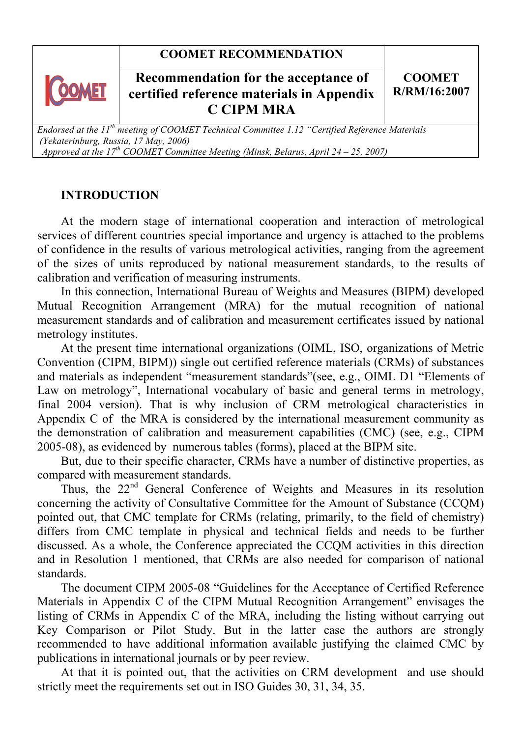# **COOMET RECOMMENDATION**



# **Recommendation for the acceptance of <br>
<b>Recommendation for the acceptance of** <br> **Recommendation for the acceptance of certified reference materials in Appendix certified reference materials in Appendix C CIPM MRA**

### **СООМЕТ R/RM/16:2007**

*Endorsed at the 11th meeting of COOMET Technical Committee 1.12 "Certified Reference Materials (Yekaterinburg, Russia, 17 May, 2006) Approved at the*  $17<sup>th</sup>$  *COOMET Committee Meeting (Minsk, Belarus, April 24 – 25, 2007)* 

# **INTRODUCTION**

At the modern stage of international cooperation and interaction of metrological services of different countries special importance and urgency is attached to the problems of confidence in the results of various metrological activities, ranging from the agreement of the sizes of units reproduced by national measurement standards, to the results of calibration and verification of measuring instruments.

In this connection, International Bureau of Weights and Measures (BIPM) developed Mutual Recognition Arrangement (MRA) for the mutual recognition of national measurement standards and of calibration and measurement certificates issued by national metrology institutes.

At the present time international organizations (OIML, ISO, organizations of Metric Convention (CIPM, BIPM)) single out certified reference materials (CRMs) of substances and materials as independent "measurement standards"(see, e.g., OIML D1 "Elements of Law on metrology", International vocabulary of basic and general terms in metrology, final 2004 version). That is why inclusion of CRM metrological characteristics in Appendix C of the MRA is considered by the international measurement community as the demonstration of calibration and measurement capabilities (CMC) (see, e.g., CIPM 2005-08), as evidenced by numerous tables (forms), placed at the BIPM site.

But, due to their specific character, CRMs have a number of distinctive properties, as compared with measurement standards.

Thus, the 22<sup>nd</sup> General Conference of Weights and Measures in its resolution concerning the activity of Consultative Committee for the Amount of Substance (CCQM) pointed out, that CMC template for CRMs (relating, primarily, to the field of chemistry) differs from CMC template in physical and technical fields and needs to be further discussed. As a whole, the Conference appreciated the CCQM activities in this direction and in Resolution 1 mentioned, that CRMs are also needed for comparison of national standards.

The document CIPM 2005-08 "Guidelines for the Acceptance of Certified Reference Materials in Appendix C of the CIPM Mutual Recognition Arrangement" envisages the listing of CRMs in Appendix C of the MRA, including the listing without carrying out Key Comparison or Pilot Study. But in the latter case the authors are strongly recommended to have additional information available justifying the claimed CMC by publications in international journals or by peer review.

At that it is pointed out, that the activities on CRM development and use should strictly meet the requirements set out in ISO Guides 30, 31, 34, 35.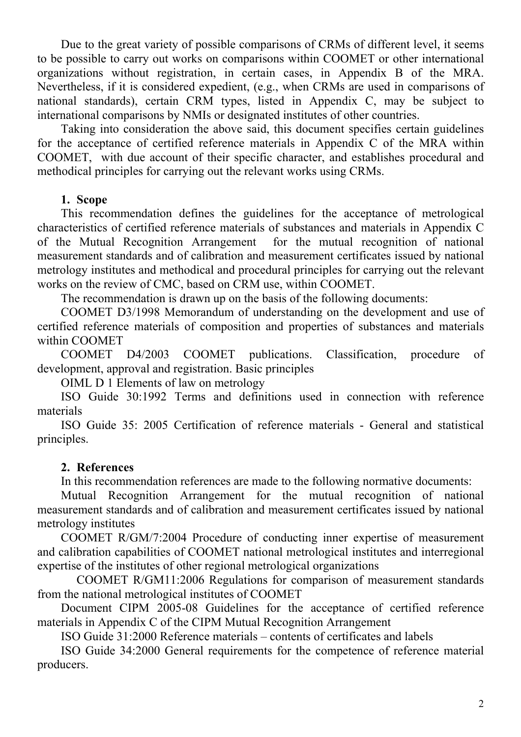Due to the great variety of possible comparisons of CRMs of different level, it seems to be possible to carry out works on comparisons within COOMET or other international organizations without registration, in certain cases, in Appendix B of the MRA. Nevertheless, if it is considered expedient, (e.g., when CRMs are used in comparisons of national standards), certain CRM types, listed in Appendix C, may be subject to international comparisons by NMIs or designated institutes of other countries.

Taking into consideration the above said, this document specifies certain guidelines for the acceptance of certified reference materials in Appendix C of the MRA within COOMET, with due account of their specific character, and establishes procedural and methodical principles for carrying out the relevant works using CRMs.

### **1. Scope**

This recommendation defines the guidelines for the acceptance of metrological characteristics of certified reference materials of substances and materials in Appendix C of the Mutual Recognition Arrangement for the mutual recognition of national measurement standards and of calibration and measurement certificates issued by national metrology institutes and methodical and procedural principles for carrying out the relevant works on the review of CMC, based on CRM use, within COOMET.

The recommendation is drawn up on the basis of the following documents:

COOMET D3/1998 Memorandum of understanding on the development and use of certified reference materials of composition and properties of substances and materials within COOMET

COOMET D4/2003 COOMET publications. Classification, procedure of development, approval and registration. Basic principles

OIML D 1 Elements of law on metrology

ISO Guide 30:1992 Terms and definitions used in connection with reference materials

ISO Guide 35: 2005 Certification of reference materials - General and statistical principles.

### **2. References**

In this recommendation references are made to the following normative documents:

Mutual Recognition Arrangement for the mutual recognition of national measurement standards and of calibration and measurement certificates issued by national metrology institutes

COOMET R/GM/7:2004 Procedure of conducting inner expertise of measurement and calibration capabilities of COOMET national metrological institutes and interregional expertise of the institutes of other regional metrological organizations

 COOMET R/GM11:2006 Regulations for comparison of measurement standards from the national metrological institutes of COOMET

Document CIPM 2005-08 Guidelines for the acceptance of certified reference materials in Appendix C of the CIPM Mutual Recognition Arrangement

ISO Guide 31:2000 Reference materials – contents of certificates and labels

ISO Guide 34:2000 General requirements for the competence of reference material producers.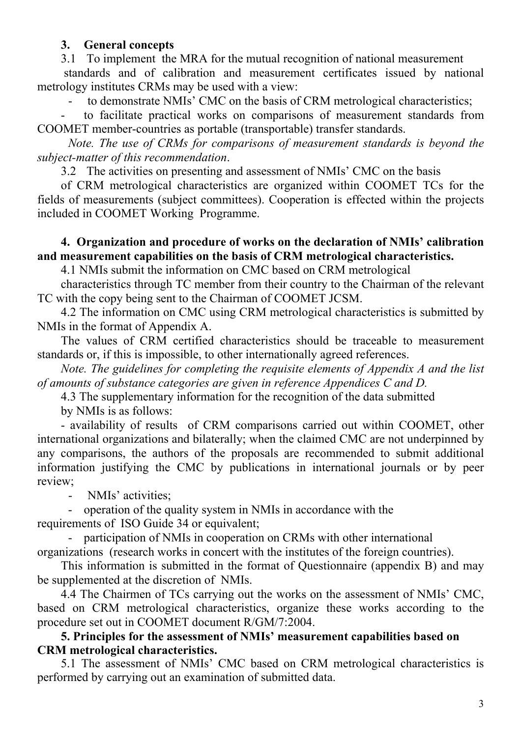# **3. General concepts**

3.1 To implement the MRA for the mutual recognition of national measurement

 standards and of calibration and measurement certificates issued by national metrology institutes CRMs may be used with a view:

to demonstrate NMIs' CMC on the basis of CRM metrological characteristics;

to facilitate practical works on comparisons of measurement standards from COOMET member-countries as portable (transportable) transfer standards.

*Note. The use of CRMs for comparisons of measurement standards is beyond the subject-matter of this recommendation*.

3.2 The activities on presenting and assessment of NMIs' CMC on the basis

of CRM metrological characteristics are organized within COOMET TCs for the fields of measurements (subject committees). Cooperation is effected within the projects included in COOMET Working Programme.

## **4. Organization and procedure of works on the declaration of NMIs' calibration and measurement capabilities on the basis of CRM metrological characteristics.**

4.1 NMIs submit the information on CMC based on CRM metrological

characteristics through TC member from their country to the Chairman of the relevant TC with the copy being sent to the Chairman of COOMET JCSM.

4.2 The information on CMC using CRM metrological characteristics is submitted by NMIs in the format of Appendix A.

The values of CRM certified characteristics should be traceable to measurement standards or, if this is impossible, to other internationally agreed references.

*Note. The guidelines for completing the requisite elements of Appendix A and the list of amounts of substance categories are given in reference Appendices C and D.* 

4.3 The supplementary information for the recognition of the data submitted

by NMIs is as follows:

- availability of results of CRM comparisons carried out within COOMET, other international organizations and bilaterally; when the claimed CMC are not underpinned by any comparisons, the authors of the proposals are recommended to submit additional information justifying the CMC by publications in international journals or by peer review;

NMIs' activities:

- operation of the quality system in NMIs in accordance with the requirements of ISO Guide 34 or equivalent;

participation of NMIs in cooperation on CRMs with other international

organizations (research works in concert with the institutes of the foreign countries).

This information is submitted in the format of Questionnaire (appendix B) and may be supplemented at the discretion of NMIs.

4.4 The Chairmen of TCs carrying out the works on the assessment of NMIs' CMC, based on CRM metrological characteristics, organize these works according to the procedure set out in COOMET document R/GM/7:2004.

# **5. Principles for the assessment of NMIs' measurement capabilities based on CRM metrological characteristics.**

5.1 The assessment of NMIs' CMC based on CRM metrological characteristics is performed by carrying out an examination of submitted data.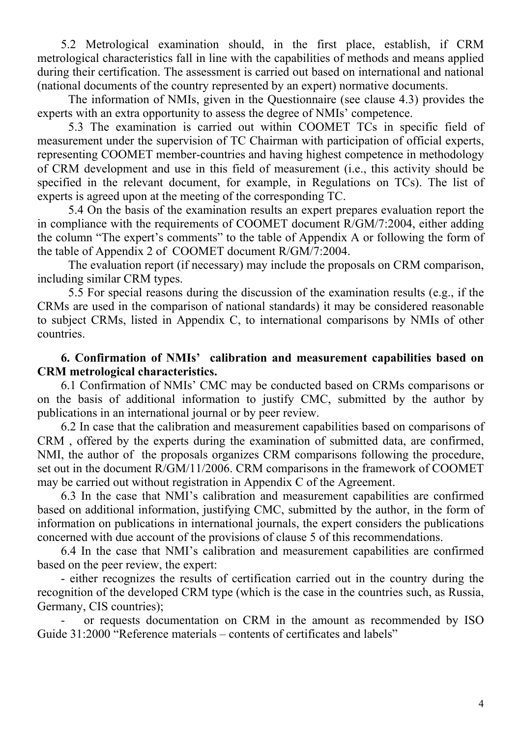5.2 Metrological examination should, in the first place, establish, if CRM metrological characteristics fall in line with the capabilities of methods and means applied during their certification. The assessment is carried out based on international and national (national documents of the country represented by an expert) normative documents.

The information of NMIs, given in the Questionnaire (see clause 4.3) provides the experts with an extra opportunity to assess the degree of NMIs' competence.

 5.3 The examination is carried out within COOMET TCs in specific field of measurement under the supervision of TC Chairman with participation of official experts, representing COOMET member-countries and having highest competence in methodology of CRM development and use in this field of measurement (i.e., this activity should be specified in the relevant document, for example, in Regulations on TCs). The list of experts is agreed upon at the meeting of the corresponding TC.

 5.4 On the basis of the examination results an expert prepares evaluation report the in compliance with the requirements of COOMET document R/GM/7:2004, either adding the column "The expert's comments" to the table of Appendix A or following the form of the table of Appendix 2 of COOMET document R/GM/7:2004.

 The evaluation report (if necessary) may include the proposals on CRM comparison, including similar CRM types.

 5.5 For special reasons during the discussion of the examination results (e.g., if the CRMs are used in the comparison of national standards) it may be considered reasonable to subject CRMs, listed in Appendix C, to international comparisons by NMIs of other countries.

**6. Confirmation of NMIs' calibration and measurement capabilities based on CRM metrological characteristics.** 

6.1 Confirmation of NMIs' CMC may be conducted based on CRMs comparisons or on the basis of additional information to justify CMC, submitted by the author by publications in an international journal or by peer review.

6.2 In case that the calibration and measurement capabilities based on comparisons of CRM , offered by the experts during the examination of submitted data, are confirmed, NMI, the author of the proposals organizes CRM comparisons following the procedure, set out in the document R/GM/11/2006. CRM comparisons in the framework of COOMET may be carried out without registration in Appendix C of the Agreement.

6.3 In the case that NMI's calibration and measurement capabilities are confirmed based on additional information, justifying CMC, submitted by the author, in the form of information on publications in international journals, the expert considers the publications concerned with due account of the provisions of clause 5 of this recommendations.

6.4 In the case that NMI's calibration and measurement capabilities are confirmed based on the peer review, the expert:

- either recognizes the results of certification carried out in the country during the recognition of the developed CRM type (which is the case in the countries such, as Russia, Germany, CIS countries);

or requests documentation on CRM in the amount as recommended by ISO Guide 31:2000 "Reference materials – contents of certificates and labels"